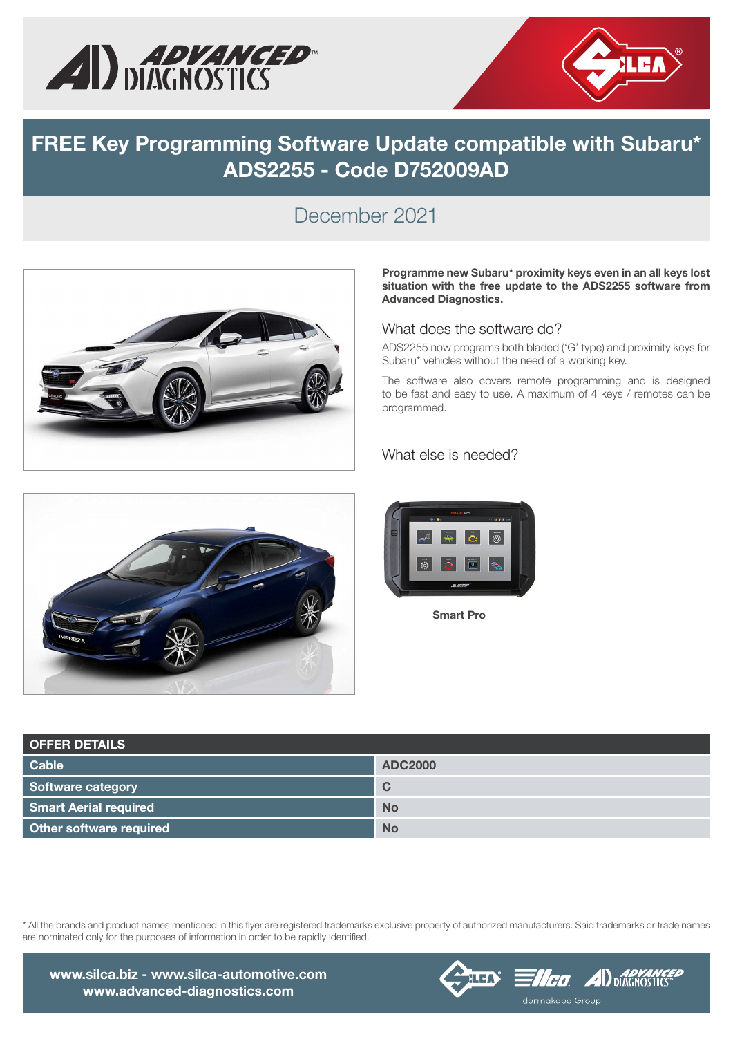



## FREE Key Programming Software Update compatible with Subaru\* ADS2255 - Code D752009AD

### December 2021



#### Programme new Subaru\* proximity keys even in an all keys lost situation with the free update to the ADS2255 software from Advanced Diagnostics.

#### What does the software do?

ADS2255 now programs both bladed ('G' type) and proximity keys for Subaru\* vehicles without the need of a working key.

The software also covers remote programming and is designed to be fast and easy to use. A maximum of 4 keys / remotes can be programmed.

#### What else is needed?





Smart Pro

| <b>OFFER DETAILS</b>         |                |
|------------------------------|----------------|
| <b>Cable</b>                 | <b>ADC2000</b> |
| Software category            | C              |
| <b>Smart Aerial required</b> | <b>No</b>      |
| Other software required      | <b>No</b>      |

\* All the brands and product names mentioned in this flyer are registered trademarks exclusive property of authorized manufacturers. Said trademarks or trade names are nominated only for the purposes of information in order to be rapidly identified.